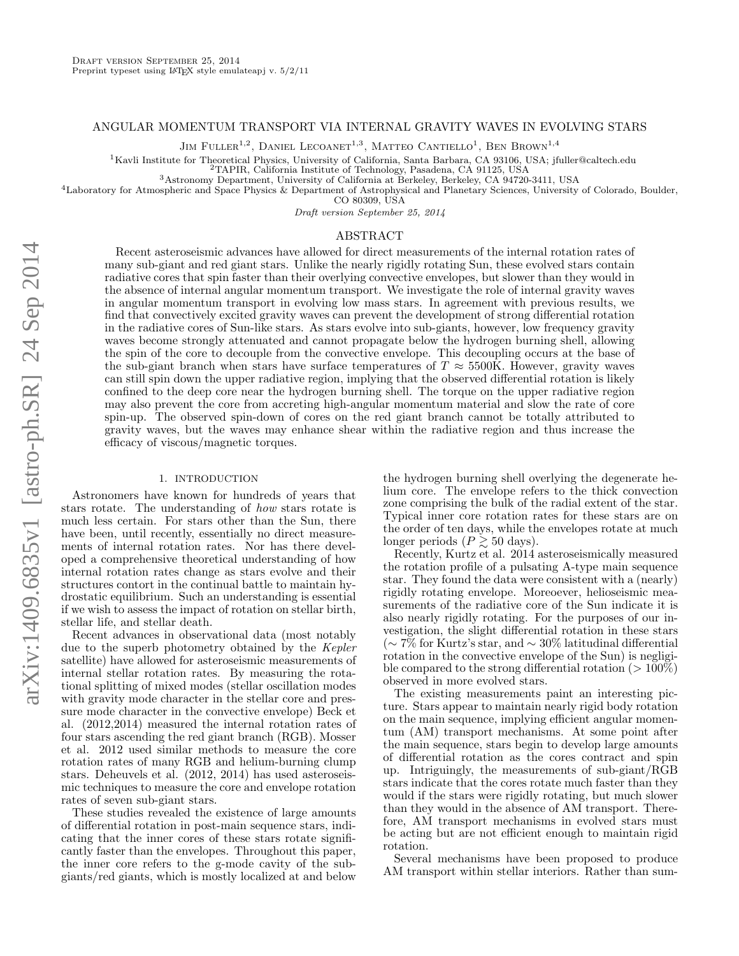## ANGULAR MOMENTUM TRANSPORT VIA INTERNAL GRAVITY WAVES IN EVOLVING STARS

JIM FULLER<sup>1,2</sup>, DANIEL LECOANET<sup>1,3</sup>, MATTEO CANTIELLO<sup>1</sup>, BEN BROWN<sup>1,4</sup>

 $1$ Kavli Institute for Theoretical Physics, University of California, Santa Barbara, CA 93106, USA; jfuller@caltech.edu

<sup>2</sup>TAPIR, California Institute of Technology, Pasadena, CA 91125, USA

<sup>3</sup>Astronomy Department, University of California at Berkeley, Berkeley, CA 94720-3411, USA

<sup>4</sup>Laboratory for Atmospheric and Space Physics & Department of Astrophysical and Planetary Sciences, University of Colorado, Boulder,

CO 80309, USA

Draft version September 25, 2014

# ABSTRACT

Recent asteroseismic advances have allowed for direct measurements of the internal rotation rates of many sub-giant and red giant stars. Unlike the nearly rigidly rotating Sun, these evolved stars contain radiative cores that spin faster than their overlying convective envelopes, but slower than they would in the absence of internal angular momentum transport. We investigate the role of internal gravity waves in angular momentum transport in evolving low mass stars. In agreement with previous results, we find that convectively excited gravity waves can prevent the development of strong differential rotation in the radiative cores of Sun-like stars. As stars evolve into sub-giants, however, low frequency gravity waves become strongly attenuated and cannot propagate below the hydrogen burning shell, allowing the spin of the core to decouple from the convective envelope. This decoupling occurs at the base of the sub-giant branch when stars have surface temperatures of  $T \approx 5500K$ . However, gravity waves can still spin down the upper radiative region, implying that the observed differential rotation is likely confined to the deep core near the hydrogen burning shell. The torque on the upper radiative region may also prevent the core from accreting high-angular momentum material and slow the rate of core spin-up. The observed spin-down of cores on the red giant branch cannot be totally attributed to gravity waves, but the waves may enhance shear within the radiative region and thus increase the efficacy of viscous/magnetic torques.

### 1. INTRODUCTION

Astronomers have known for hundreds of years that stars rotate. The understanding of how stars rotate is much less certain. For stars other than the Sun, there have been, until recently, essentially no direct measurements of internal rotation rates. Nor has there developed a comprehensive theoretical understanding of how internal rotation rates change as stars evolve and their structures contort in the continual battle to maintain hydrostatic equilibrium. Such an understanding is essential if we wish to assess the impact of rotation on stellar birth, stellar life, and stellar death.

Recent advances in observational data (most notably due to the superb photometry obtained by the Kepler satellite) have allowed for asteroseismic measurements of internal stellar rotation rates. By measuring the rotational splitting of mixed modes (stellar oscillation modes with gravity mode character in the stellar core and pressure mode character in the convective envelope) Beck et al. (2012,2014) measured the internal rotation rates of four stars ascending the red giant branch (RGB). Mosser et al. 2012 used similar methods to measure the core rotation rates of many RGB and helium-burning clump stars. Deheuvels et al. (2012, 2014) has used asteroseismic techniques to measure the core and envelope rotation rates of seven sub-giant stars.

These studies revealed the existence of large amounts of differential rotation in post-main sequence stars, indicating that the inner cores of these stars rotate significantly faster than the envelopes. Throughout this paper, the inner core refers to the g-mode cavity of the subgiants/red giants, which is mostly localized at and below

the hydrogen burning shell overlying the degenerate helium core. The envelope refers to the thick convection zone comprising the bulk of the radial extent of the star. Typical inner core rotation rates for these stars are on the order of ten days, while the envelopes rotate at much longer periods  $(P \gtrsim 50 \text{ days}).$ 

Recently, Kurtz et al. 2014 asteroseismically measured the rotation profile of a pulsating A-type main sequence star. They found the data were consistent with a (nearly) rigidly rotating envelope. Moreoever, helioseismic measurements of the radiative core of the Sun indicate it is also nearly rigidly rotating. For the purposes of our investigation, the slight differential rotation in these stars (∼ 7% for Kurtz's star, and ∼ 30% latitudinal differential rotation in the convective envelope of the Sun) is negligible compared to the strong differential rotation ( $>100\%$ ) observed in more evolved stars.

The existing measurements paint an interesting picture. Stars appear to maintain nearly rigid body rotation on the main sequence, implying efficient angular momentum (AM) transport mechanisms. At some point after the main sequence, stars begin to develop large amounts of differential rotation as the cores contract and spin up. Intriguingly, the measurements of sub-giant/RGB stars indicate that the cores rotate much faster than they would if the stars were rigidly rotating, but much slower than they would in the absence of AM transport. Therefore, AM transport mechanisms in evolved stars must be acting but are not efficient enough to maintain rigid rotation.

Several mechanisms have been proposed to produce AM transport within stellar interiors. Rather than sum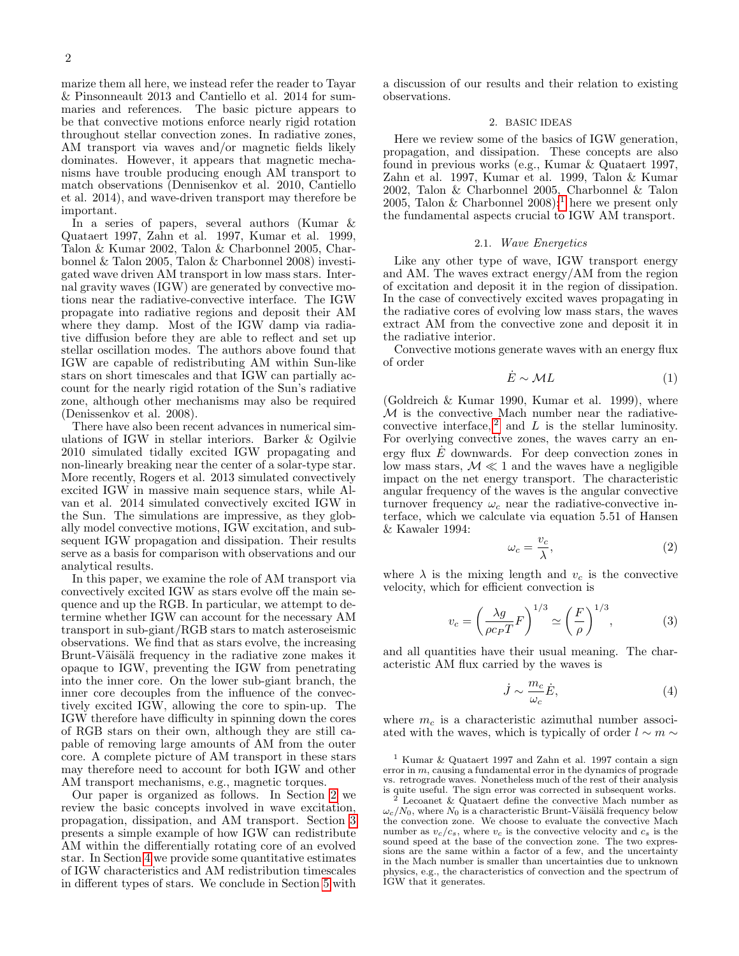marize them all here, we instead refer the reader to Tayar & Pinsonneault 2013 and Cantiello et al. 2014 for summaries and references. The basic picture appears to be that convective motions enforce nearly rigid rotation throughout stellar convection zones. In radiative zones, AM transport via waves and/or magnetic fields likely dominates. However, it appears that magnetic mechanisms have trouble producing enough AM transport to match observations (Dennisenkov et al. 2010, Cantiello et al. 2014), and wave-driven transport may therefore be important.

In a series of papers, several authors (Kumar & Quataert 1997, Zahn et al. 1997, Kumar et al. 1999, Talon & Kumar 2002, Talon & Charbonnel 2005, Charbonnel & Talon 2005, Talon & Charbonnel 2008) investigated wave driven AM transport in low mass stars. Internal gravity waves (IGW) are generated by convective motions near the radiative-convective interface. The IGW propagate into radiative regions and deposit their AM where they damp. Most of the IGW damp via radiative diffusion before they are able to reflect and set up stellar oscillation modes. The authors above found that IGW are capable of redistributing AM within Sun-like stars on short timescales and that IGW can partially account for the nearly rigid rotation of the Sun's radiative zone, although other mechanisms may also be required (Denissenkov et al. 2008).

There have also been recent advances in numerical simulations of IGW in stellar interiors. Barker & Ogilvie 2010 simulated tidally excited IGW propagating and non-linearly breaking near the center of a solar-type star. More recently, Rogers et al. 2013 simulated convectively excited IGW in massive main sequence stars, while Alvan et al. 2014 simulated convectively excited IGW in the Sun. The simulations are impressive, as they globally model convective motions, IGW excitation, and subsequent IGW propagation and dissipation. Their results serve as a basis for comparison with observations and our analytical results.

In this paper, we examine the role of AM transport via convectively excited IGW as stars evolve off the main sequence and up the RGB. In particular, we attempt to determine whether IGW can account for the necessary AM transport in sub-giant/RGB stars to match asteroseismic observations. We find that as stars evolve, the increasing Brunt-Väisälä frequency in the radiative zone makes it opaque to IGW, preventing the IGW from penetrating into the inner core. On the lower sub-giant branch, the inner core decouples from the influence of the convectively excited IGW, allowing the core to spin-up. The IGW therefore have difficulty in spinning down the cores of RGB stars on their own, although they are still capable of removing large amounts of AM from the outer core. A complete picture of AM transport in these stars may therefore need to account for both IGW and other AM transport mechanisms, e.g., magnetic torques.

Our paper is organized as follows. In Section [2](#page-1-0) we review the basic concepts involved in wave excitation, propagation, dissipation, and AM transport. Section [3](#page-4-0) presents a simple example of how IGW can redistribute AM within the differentially rotating core of an evolved star. In Section [4](#page-5-0) we provide some quantitative estimates of IGW characteristics and AM redistribution timescales in different types of stars. We conclude in Section [5](#page-9-0) with

a discussion of our results and their relation to existing observations.

#### 2. BASIC IDEAS

<span id="page-1-0"></span>Here we review some of the basics of IGW generation, propagation, and dissipation. These concepts are also found in previous works (e.g., Kumar & Quataert 1997, Zahn et al. 1997, Kumar et al. 1999, Talon & Kumar 2002, Talon & Charbonnel 2005, Charbonnel & Talon 2005, Talon & Charbonnel 2008);<sup>[1](#page-1-1)</sup> here we present only the fundamental aspects crucial to IGW AM transport.

#### 2.1. Wave Energetics

Like any other type of wave, IGW transport energy and AM. The waves extract energy/AM from the region of excitation and deposit it in the region of dissipation. In the case of convectively excited waves propagating in the radiative cores of evolving low mass stars, the waves extract AM from the convective zone and deposit it in the radiative interior.

Convective motions generate waves with an energy flux of order

<span id="page-1-4"></span>
$$
\dot{E} \sim \mathcal{M}L\tag{1}
$$

(Goldreich & Kumar 1990, Kumar et al. 1999), where  $M$  is the convective Mach number near the radiativeconvective interface,  $2$  and  $L$  is the stellar luminosity. For overlying convective zones, the waves carry an energy flux  $E$  downwards. For deep convection zones in low mass stars,  $M \ll 1$  and the waves have a negligible impact on the net energy transport. The characteristic angular frequency of the waves is the angular convective turnover frequency  $\omega_c$  near the radiative-convective interface, which we calculate via equation 5.51 of Hansen & Kawaler 1994:

$$
\omega_c = \frac{v_c}{\lambda},\tag{2}
$$

where  $\lambda$  is the mixing length and  $v_c$  is the convective velocity, which for efficient convection is

$$
v_c = \left(\frac{\lambda g}{\rho c_P T} F\right)^{1/3} \simeq \left(\frac{F}{\rho}\right)^{1/3},\tag{3}
$$

and all quantities have their usual meaning. The characteristic AM flux carried by the waves is

<span id="page-1-3"></span>
$$
\dot{J} \sim \frac{m_c}{\omega_c} \dot{E},\tag{4}
$$

where  $m_c$  is a characteristic azimuthal number associated with the waves, which is typically of order  $l \sim m \sim$ 

<span id="page-1-1"></span><sup>1</sup> Kumar & Quataert 1997 and Zahn et al. 1997 contain a sign error in  $m$ , causing a fundamental error in the dynamics of prograde vs. retrograde waves. Nonetheless much of the rest of their analysis is quite useful. The sign error was corrected in subsequent works.

<span id="page-1-2"></span> $2$  Lecoanet & Quataert define the convective Mach number as  $\omega_c/N_0$ , where  $N_0$  is a characteristic Brunt-Väisälä frequency below the convection zone. We choose to evaluate the convective Mach number as  $v_c/c_s$ , where  $v_c$  is the convective velocity and  $c_s$  is the sound speed at the base of the convection zone. The two expressions are the same within a factor of a few, and the uncertainty in the Mach number is smaller than uncertainties due to unknown physics, e.g., the characteristics of convection and the spectrum of IGW that it generates.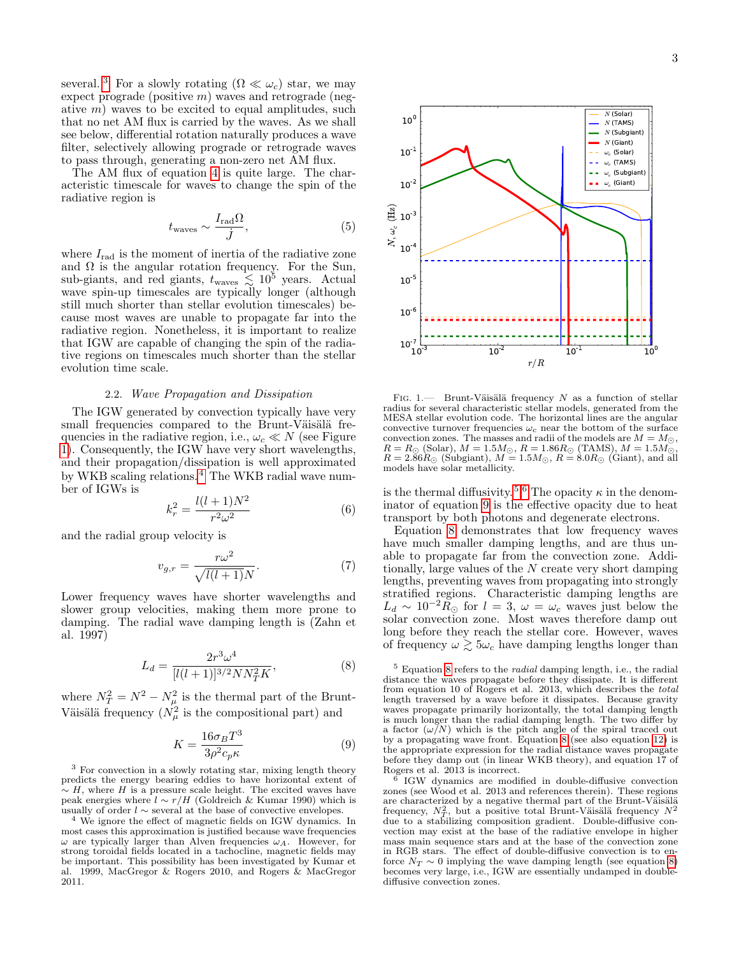several. <sup>[3](#page-2-0)</sup> For a slowly rotating  $(\Omega \ll \omega_c)$  star, we may expect prograde (positive  $m$ ) waves and retrograde (negative  $m$ ) waves to be excited to equal amplitudes, such that no net AM flux is carried by the waves. As we shall see below, differential rotation naturally produces a wave filter, selectively allowing prograde or retrograde waves to pass through, generating a non-zero net AM flux.

The AM flux of equation [4](#page-1-3) is quite large. The characteristic timescale for waves to change the spin of the radiative region is

$$
t_{\text{waves}} \sim \frac{I_{\text{rad}}\Omega}{\dot{J}},\tag{5}
$$

where  $I_{\text{rad}}$  is the moment of inertia of the radiative zone and  $\Omega$  is the angular rotation frequency. For the Sun, sub-giants, and red giants,  $t_{\text{waves}} \lesssim 10^5$  years. Actual wave spin-up timescales are typically longer (although still much shorter than stellar evolution timescales) because most waves are unable to propagate far into the radiative region. Nonetheless, it is important to realize that IGW are capable of changing the spin of the radiative regions on timescales much shorter than the stellar evolution time scale.

### 2.2. Wave Propagation and Dissipation

The IGW generated by convection typically have very small frequencies compared to the Brunt-Väisälä frequencies in the radiative region, i.e.,  $\omega_c \ll N$  (see Figure [1\)](#page-2-1). Consequently, the IGW have very short wavelengths, and their propagation/dissipation is well approximated by WKB scaling relations. [4](#page-2-2) The WKB radial wave number of IGWs is

$$
k_r^2 = \frac{l(l+1)N^2}{r^2 \omega^2} \tag{6}
$$

and the radial group velocity is

$$
v_{g,r} = \frac{r\omega^2}{\sqrt{l(l+1)}N}.\tag{7}
$$

Lower frequency waves have shorter wavelengths and slower group velocities, making them more prone to damping. The radial wave damping length is (Zahn et al. 1997)

$$
L_d = \frac{2r^3\omega^4}{[l(l+1)]^{3/2}NN_T^2K},\tag{8}
$$

where  $N_T^2 = N^2 - N_\mu^2$  is the thermal part of the Brunt-Väisälä frequency  $(N_{\mu}^2)$  is the compositional part) and

<span id="page-2-5"></span>
$$
K = \frac{16\sigma_B T^3}{3\rho^2 c_p \kappa} \tag{9}
$$

<span id="page-2-0"></span><sup>3</sup> For convection in a slowly rotating star, mixing length theory predicts the energy bearing eddies to have horizontal extent of  $\sim$  H, where H is a pressure scale height. The excited waves have peak energies where  $l \sim r/H$  (Goldreich & Kumar 1990) which is usually of order  $l \sim$  several at the base of convective envelopes.

<span id="page-2-2"></span><sup>4</sup> We ignore the effect of magnetic fields on IGW dynamics. In most cases this approximation is justified because wave frequencies  $\omega$  are typically larger than Alven frequencies  $\omega_A$ . However, for strong toroidal fields located in a tachocline, magnetic fields may be important. This possibility has been investigated by Kumar et al. 1999, MacGregor & Rogers 2010, and Rogers & MacGregor 2011.



<span id="page-2-1"></span>FIG. 1.— Brunt-Väisälä frequency  $N$  as a function of stellar radius for several characteristic stellar models, generated from the MESA stellar evolution code. The horizontal lines are the angular convective turnover frequencies  $\omega_c$  near the bottom of the surface convective values. The masses and radii of the models are  $M = M_{\odot}$ ,  $R = R_{\odot}$  (Solar),  $M = 1.5 M_{\odot}$ ,  $R = 1.86 R_{\odot}$  (TAMS),  $M = 1.5 M_{\odot}$ ,  $R = 2.86 R_{\odot}$  (Subgiant),  $M = 1.5 M_{\odot}$ ,  $R = 8.0 R_{\odot}$  (Giant), and all models have solar metallicity.

is the thermal diffusivity.<sup>[5](#page-2-3),[6](#page-2-4)</sup> The opacity  $\kappa$  in the denominator of equation [9](#page-2-5) is the effective opacity due to heat transport by both photons and degenerate electrons.

Equation [8](#page-2-6) demonstrates that low frequency waves have much smaller damping lengths, and are thus unable to propagate far from the convection zone. Additionally, large values of the N create very short damping lengths, preventing waves from propagating into strongly stratified regions. Characteristic damping lengths are  $L_d \sim 10^{-2} R_{\odot}$  for  $l = 3, \omega = \omega_c$  waves just below the solar convection zone. Most waves therefore damp out long before they reach the stellar core. However, waves of frequency  $\omega \gtrsim 5\omega_c$  have damping lengths longer than

<span id="page-2-6"></span><span id="page-2-3"></span> $5$  Equation [8](#page-2-6) refers to the *radial* damping length, i.e., the radial distance the waves propagate before they dissipate. It is different from equation 10 of Rogers et al. 2013, which describes the total length traversed by a wave before it dissipates. Because gravity waves propagate primarily horizontally, the total damping length is much longer than the radial damping length. The two differ by a factor  $(\omega/N)$  which is the pitch angle of the spiral traced out by a propagating wave front. Equation [8](#page-2-6) (see also equation [12\)](#page-3-0) is the appropriate expression for the radial distance waves propagate before they damp out (in linear WKB theory), and equation 17 of Rogers et al. 2013 is incorrect.

<span id="page-2-4"></span>6 IGW dynamics are modified in double-diffusive convection zones (see Wood et al. 2013 and references therein). These regions are characterized by a negative thermal part of the Brunt-Väisälä frequency,  $N_T^2$ , but a positive total Brunt-Väisälä frequency  $N^2$ due to a stabilizing composition gradient. Double-diffusive convection may exist at the base of the radiative envelope in higher mass main sequence stars and at the base of the convection zone in RGB stars. The effect of double-diffusive convection is to enforce  $N_T \sim 0$  implying the wave damping length (see equation [8\)](#page-2-6) becomes very large, i.e., IGW are essentially undamped in doublediffusive convection zones.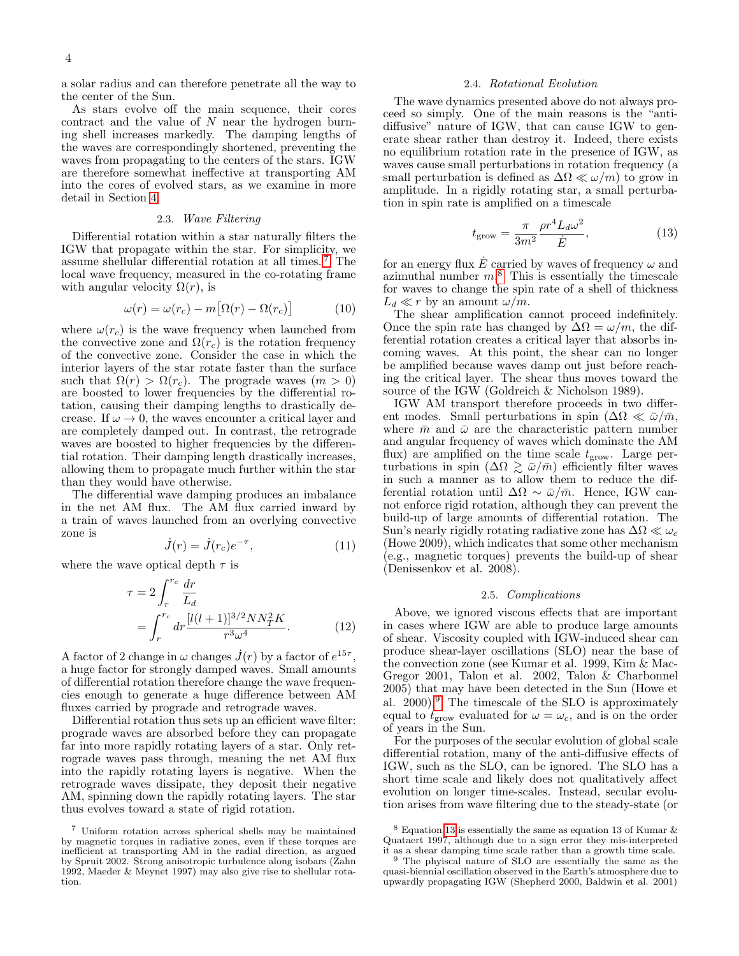a solar radius and can therefore penetrate all the way to the center of the Sun.

As stars evolve off the main sequence, their cores contract and the value of  $N$  near the hydrogen burning shell increases markedly. The damping lengths of the waves are correspondingly shortened, preventing the waves from propagating to the centers of the stars. IGW are therefore somewhat ineffective at transporting AM into the cores of evolved stars, as we examine in more detail in Section [4.](#page-5-0)

#### 2.3. Wave Filtering

Differential rotation within a star naturally filters the IGW that propagate within the star. For simplicity, we assume shellular differential rotation at all times. [7](#page-3-1) The local wave frequency, measured in the co-rotating frame with angular velocity  $\Omega(r)$ , is

<span id="page-3-5"></span>
$$
\omega(r) = \omega(r_c) - m[\Omega(r) - \Omega(r_c)] \tag{10}
$$

where  $\omega(r_c)$  is the wave frequency when launched from the convective zone and  $\Omega(r_c)$  is the rotation frequency of the convective zone. Consider the case in which the interior layers of the star rotate faster than the surface such that  $\Omega(r) > \Omega(r_c)$ . The prograde waves  $(m > 0)$ are boosted to lower frequencies by the differential rotation, causing their damping lengths to drastically decrease. If  $\omega \to 0$ , the waves encounter a critical layer and are completely damped out. In contrast, the retrograde waves are boosted to higher frequencies by the differential rotation. Their damping length drastically increases, allowing them to propagate much further within the star than they would have otherwise.

The differential wave damping produces an imbalance in the net AM flux. The AM flux carried inward by a train of waves launched from an overlying convective zone is

$$
\dot{J}(r) = \dot{J}(r_c)e^{-\tau},\tag{11}
$$

where the wave optical depth  $\tau$  is

$$
\tau = 2 \int_{r}^{r_c} \frac{dr}{L_d} \n= \int_{r}^{r_c} dr \frac{[l(l+1)]^{3/2} N N_T^2 K}{r^3 \omega^4}.
$$
\n(12)

A factor of 2 change in  $\omega$  changes  $\dot{J}(r)$  by a factor of  $e^{15\tau}$ , a huge factor for strongly damped waves. Small amounts of differential rotation therefore change the wave frequencies enough to generate a huge difference between AM fluxes carried by prograde and retrograde waves.

Differential rotation thus sets up an efficient wave filter: prograde waves are absorbed before they can propagate far into more rapidly rotating layers of a star. Only retrograde waves pass through, meaning the net AM flux into the rapidly rotating layers is negative. When the retrograde waves dissipate, they deposit their negative AM, spinning down the rapidly rotating layers. The star thus evolves toward a state of rigid rotation.

### 2.4. Rotational Evolution

The wave dynamics presented above do not always proceed so simply. One of the main reasons is the "antidiffusive" nature of IGW, that can cause IGW to generate shear rather than destroy it. Indeed, there exists no equilibrium rotation rate in the presence of IGW, as waves cause small perturbations in rotation frequency (a small perturbation is defined as  $\Delta\Omega \ll \omega/m$  to grow in amplitude. In a rigidly rotating star, a small perturbation in spin rate is amplified on a timescale

<span id="page-3-4"></span>
$$
t_{\rm grow} = \frac{\pi}{3m^2} \frac{\rho r^4 L_d \omega^2}{\dot{E}},\tag{13}
$$

for an energy flux  $\dot{E}$  carried by waves of frequency  $\omega$  and azimuthal number  $m$ <sup>[8](#page-3-2)</sup>. This is essentially the timescale for waves to change the spin rate of a shell of thickness  $L_d \ll r$  by an amount  $\omega/m$ .

The shear amplification cannot proceed indefinitely. Once the spin rate has changed by  $\Delta\Omega = \omega/m$ , the differential rotation creates a critical layer that absorbs incoming waves. At this point, the shear can no longer be amplified because waves damp out just before reaching the critical layer. The shear thus moves toward the source of the IGW (Goldreich & Nicholson 1989).

IGW AM transport therefore proceeds in two different modes. Small perturbations in spin  $(\Delta\Omega \ll \bar{\omega}/\bar{m},$ where  $\bar{m}$  and  $\bar{\omega}$  are the characteristic pattern number and angular frequency of waves which dominate the AM flux) are amplified on the time scale  $t_{\rm grow}$ . Large perturbations in spin  $(\Delta \Omega \gtrsim \bar{\omega}/\bar{m})$  efficiently filter waves in such a manner as to allow them to reduce the differential rotation until  $\Delta\Omega \sim \bar{\omega}/\bar{m}$ . Hence, IGW cannot enforce rigid rotation, although they can prevent the build-up of large amounts of differential rotation. The Sun's nearly rigidly rotating radiative zone has  $\Delta\Omega \ll \omega_c$ (Howe 2009), which indicates that some other mechanism (e.g., magnetic torques) prevents the build-up of shear (Denissenkov et al. 2008).

## 2.5. Complications

<span id="page-3-0"></span>Above, we ignored viscous effects that are important in cases where IGW are able to produce large amounts of shear. Viscosity coupled with IGW-induced shear can produce shear-layer oscillations (SLO) near the base of the convection zone (see Kumar et al. 1999, Kim & Mac-Gregor 2001, Talon et al. 2002, Talon & Charbonnel 2005) that may have been detected in the Sun (Howe et al.  $2000$ .<sup>[9](#page-3-3)</sup> The timescale of the SLO is approximately equal to  $t_{\rm grow}$  evaluated for  $\omega = \omega_c$ , and is on the order of years in the Sun.

For the purposes of the secular evolution of global scale differential rotation, many of the anti-diffusive effects of IGW, such as the SLO, can be ignored. The SLO has a short time scale and likely does not qualitatively affect evolution on longer time-scales. Instead, secular evolution arises from wave filtering due to the steady-state (or

<span id="page-3-1"></span><sup>7</sup> Uniform rotation across spherical shells may be maintained by magnetic torques in radiative zones, even if these torques are inefficient at transporting AM in the radial direction, as argued by Spruit 2002. Strong anisotropic turbulence along isobars (Zahn 1992, Maeder & Meynet 1997) may also give rise to shellular rotation.

<span id="page-3-2"></span> $^8$  Equation [13](#page-3-4) is essentially the same as equation 13 of Kumar  $\&$ Quataert 1997, although due to a sign error they mis-interpreted it as a shear damping time scale rather than a growth time scale.

<span id="page-3-3"></span>The phyiscal nature of SLO are essentially the same as the quasi-biennial oscillation observed in the Earth's atmosphere due to upwardly propagating IGW (Shepherd 2000, Baldwin et al. 2001)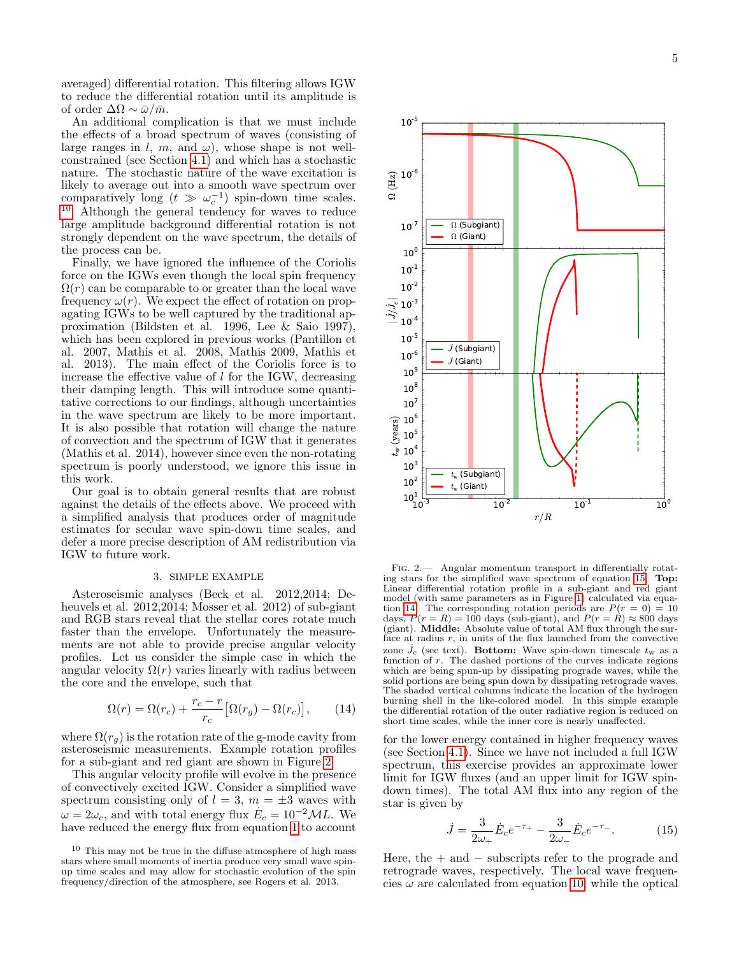averaged) differential rotation. This filtering allows IGW to reduce the differential rotation until its amplitude is of order  $\Delta\Omega \sim \bar{\omega}/\bar{m}$ .

An additional complication is that we must include the effects of a broad spectrum of waves (consisting of large ranges in l, m, and  $\omega$ ), whose shape is not wellconstrained (see Section [4.1\)](#page-5-1) and which has a stochastic nature. The stochastic nature of the wave excitation is likely to average out into a smooth wave spectrum over comparatively long  $(t \gg \omega_c^{-1})$  spin-down time scales. [10](#page-4-1) Although the general tendency for waves to reduce large amplitude background differential rotation is not strongly dependent on the wave spectrum, the details of the process can be.

Finally, we have ignored the influence of the Coriolis force on the IGWs even though the local spin frequency  $\Omega(r)$  can be comparable to or greater than the local wave frequency  $\omega(r)$ . We expect the effect of rotation on propagating IGWs to be well captured by the traditional approximation (Bildsten et al. 1996, Lee & Saio 1997), which has been explored in previous works (Pantillon et al. 2007, Mathis et al. 2008, Mathis 2009, Mathis et al. 2013). The main effect of the Coriolis force is to increase the effective value of  $l$  for the IGW, decreasing their damping length. This will introduce some quantitative corrections to our findings, although uncertainties in the wave spectrum are likely to be more important. It is also possible that rotation will change the nature of convection and the spectrum of IGW that it generates (Mathis et al. 2014), however since even the non-rotating spectrum is poorly understood, we ignore this issue in this work.

Our goal is to obtain general results that are robust against the details of the effects above. We proceed with a simplified analysis that produces order of magnitude estimates for secular wave spin-down time scales, and defer a more precise description of AM redistribution via IGW to future work.

## 3. SIMPLE EXAMPLE

<span id="page-4-0"></span>Asteroseismic analyses (Beck et al. 2012,2014; Deheuvels et al. 2012,2014; Mosser et al. 2012) of sub-giant and RGB stars reveal that the stellar cores rotate much faster than the envelope. Unfortunately the measurements are not able to provide precise angular velocity profiles. Let us consider the simple case in which the angular velocity  $\Omega(r)$  varies linearly with radius between the core and the envelope, such that

<span id="page-4-4"></span>
$$
\Omega(r) = \Omega(r_c) + \frac{r_c - r}{r_c} \left[ \Omega(r_g) - \Omega(r_c) \right],\tag{14}
$$

where  $\Omega(r_q)$  is the rotation rate of the g-mode cavity from asteroseismic measurements. Example rotation profiles for a sub-giant and red giant are shown in Figure [2.](#page-4-2)

This angular velocity profile will evolve in the presence of convectively excited IGW. Consider a simplified wave spectrum consisting only of  $l = 3$ ,  $m = \pm 3$  waves with  $\omega = 2\omega_c$ , and with total energy flux  $\dot{E}_c = 10^{-2}ML$ . We have reduced the energy flux from equation [1](#page-1-4) to account



<span id="page-4-2"></span>Fig. 2.— Angular momentum transport in differentially rotating stars for the simplified wave spectrum of equation [15.](#page-4-3) Top: Linear differential rotation profile in a sub-giant and red giant model (with same parameters as in Figure [1\)](#page-2-1) calculated via equa-tion [14.](#page-4-4) The corresponding rotation periods are  $P(r = 0) = 10$ days,  $P(r = R) = 100$  days (sub-giant), and  $P(r = R) \approx 800$  days (giant). Middle: Absolute value of total AM flux through the surface at radius  $r$ , in units of the flux launched from the convective zone  $\dot{J_c}$  (see text). **Bottom:** Wave spin-down timescale  $t_w$  as a function of r. The dashed portions of the curves indicate regions which are being spun-up by dissipating prograde waves, while the solid portions are being spun down by dissipating retrograde waves. The shaded vertical columns indicate the location of the hydrogen burning shell in the like-colored model. In this simple example the differential rotation of the outer radiative region is reduced on short time scales, while the inner core is nearly unaffected.

for the lower energy contained in higher frequency waves (see Section [4.1\)](#page-5-1). Since we have not included a full IGW spectrum, this exercise provides an approximate lower limit for IGW fluxes (and an upper limit for IGW spindown times). The total AM flux into any region of the star is given by

<span id="page-4-3"></span>
$$
\dot{J} = \frac{3}{2\omega_{+}} \dot{E}_{c} e^{-\tau_{+}} - \frac{3}{2\omega_{-}} \dot{E}_{c} e^{-\tau_{-}}.
$$
 (15)

Here, the  $+$  and  $-$  subscripts refer to the prograde and retrograde waves, respectively. The local wave frequencies  $\omega$  are calculated from equation [10,](#page-3-5) while the optical

<span id="page-4-1"></span> $10$  This may not be true in the diffuse atmosphere of high mass stars where small moments of inertia produce very small wave spinup time scales and may allow for stochastic evolution of the spin frequency/direction of the atmosphere, see Rogers et al. 2013.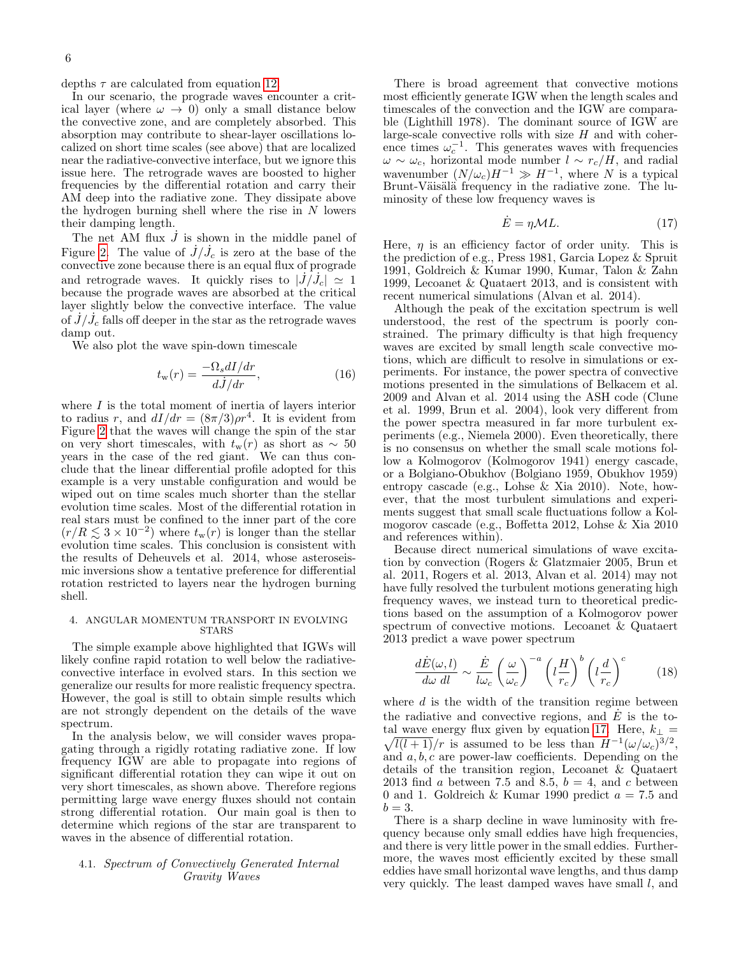depths  $\tau$  are calculated from equation [12.](#page-3-0)

In our scenario, the prograde waves encounter a critical layer (where  $\omega \rightarrow 0$ ) only a small distance below the convective zone, and are completely absorbed. This absorption may contribute to shear-layer oscillations localized on short time scales (see above) that are localized near the radiative-convective interface, but we ignore this issue here. The retrograde waves are boosted to higher frequencies by the differential rotation and carry their AM deep into the radiative zone. They dissipate above the hydrogen burning shell where the rise in  $N$  lowers their damping length.

The net AM flux  $\dot{J}$  is shown in the middle panel of Figure [2.](#page-4-2) The value of  $\dot{J}/\dot{J}_c$  is zero at the base of the convective zone because there is an equal flux of prograde and retrograde waves. It quickly rises to  $|\dot{J}/\dot{J}_c| \simeq 1$ because the prograde waves are absorbed at the critical layer slightly below the convective interface. The value of  $\dot{J}/\dot{J}_c$  falls off deeper in the star as the retrograde waves damp out.

We also plot the wave spin-down timescale

$$
t_{\rm w}(r) = \frac{-\Omega_s dI/dr}{dJ/dr},\qquad(16)
$$

where  $I$  is the total moment of inertia of layers interior to radius r, and  $dI/dr = (8\pi/3)\rho r^4$ . It is evident from Figure [2](#page-4-2) that the waves will change the spin of the star on very short timescales, with  $t_w(r)$  as short as  $\sim 50$ years in the case of the red giant. We can thus conclude that the linear differential profile adopted for this example is a very unstable configuration and would be wiped out on time scales much shorter than the stellar evolution time scales. Most of the differential rotation in real stars must be confined to the inner part of the core  $(r/R \lesssim 3 \times 10^{-2})$  where  $t_{\rm w}(r)$  is longer than the stellar evolution time scales. This conclusion is consistent with the results of Deheuvels et al. 2014, whose asteroseismic inversions show a tentative preference for differential rotation restricted to layers near the hydrogen burning shell.

### <span id="page-5-0"></span>4. ANGULAR MOMENTUM TRANSPORT IN EVOLVING STARS

The simple example above highlighted that IGWs will likely confine rapid rotation to well below the radiativeconvective interface in evolved stars. In this section we generalize our results for more realistic frequency spectra. However, the goal is still to obtain simple results which are not strongly dependent on the details of the wave spectrum.

In the analysis below, we will consider waves propagating through a rigidly rotating radiative zone. If low frequency IGW are able to propagate into regions of significant differential rotation they can wipe it out on very short timescales, as shown above. Therefore regions permitting large wave energy fluxes should not contain strong differential rotation. Our main goal is then to determine which regions of the star are transparent to waves in the absence of differential rotation.

# <span id="page-5-1"></span>4.1. Spectrum of Convectively Generated Internal Gravity Waves

There is broad agreement that convective motions most efficiently generate IGW when the length scales and timescales of the convection and the IGW are comparable (Lighthill 1978). The dominant source of IGW are large-scale convective rolls with size  $H$  and with coherence times  $\omega_c^{-1}$ . This generates waves with frequencies  $\omega \sim \omega_c$ , horizontal mode number  $l \sim r_c/H$ , and radial wavenumber  $(N/\omega_c)H^{-1} \gg H^{-1}$ , where N is a typical Brunt-Väisälä frequency in the radiative zone. The luminosity of these low frequency waves is

<span id="page-5-2"></span>
$$
\dot{E} = \eta \mathcal{M}L. \tag{17}
$$

Here,  $\eta$  is an efficiency factor of order unity. This is the prediction of e.g., Press 1981, Garcia Lopez & Spruit 1991, Goldreich & Kumar 1990, Kumar, Talon & Zahn 1999, Lecoanet & Quataert 2013, and is consistent with recent numerical simulations (Alvan et al. 2014).

Although the peak of the excitation spectrum is well understood, the rest of the spectrum is poorly constrained. The primary difficulty is that high frequency waves are excited by small length scale convective motions, which are difficult to resolve in simulations or experiments. For instance, the power spectra of convective motions presented in the simulations of Belkacem et al. 2009 and Alvan et al. 2014 using the ASH code (Clune et al. 1999, Brun et al. 2004), look very different from the power spectra measured in far more turbulent experiments (e.g., Niemela 2000). Even theoretically, there is no consensus on whether the small scale motions follow a Kolmogorov (Kolmogorov 1941) energy cascade, or a Bolgiano-Obukhov (Bolgiano 1959, Obukhov 1959) entropy cascade (e.g., Lohse & Xia 2010). Note, however, that the most turbulent simulations and experiments suggest that small scale fluctuations follow a Kolmogorov cascade (e.g., Boffetta 2012, Lohse & Xia 2010 and references within).

Because direct numerical simulations of wave excitation by convection (Rogers & Glatzmaier 2005, Brun et al. 2011, Rogers et al. 2013, Alvan et al. 2014) may not have fully resolved the turbulent motions generating high frequency waves, we instead turn to theoretical predictions based on the assumption of a Kolmogorov power spectrum of convective motions. Lecoanet & Quataert 2013 predict a wave power spectrum

$$
\frac{d\dot{E}(\omega, l)}{d\omega \ dl} \sim \frac{\dot{E}}{l\omega_c} \left(\frac{\omega}{\omega_c}\right)^{-a} \left(l\frac{H}{r_c}\right)^b \left(l\frac{d}{r_c}\right)^c \tag{18}
$$

where  $d$  is the width of the transition regime between the radiative and convective regions, and  $\dot{E}$  is the to-tal wave energy flux given by equation [17.](#page-5-2) Here,  $k_{\perp}$  =  $\sqrt{l(l+1)}/r$  is assumed to be less than  $H^{-1}(\omega/\omega_c)^{3/2}$ , and  $a, b, c$  are power-law coefficients. Depending on the details of the transition region, Lecoanet & Quataert 2013 find a between 7.5 and 8.5,  $b = 4$ , and c between 0 and 1. Goldreich & Kumar 1990 predict  $a = 7.5$  and  $b = 3$ .

There is a sharp decline in wave luminosity with frequency because only small eddies have high frequencies, and there is very little power in the small eddies. Furthermore, the waves most efficiently excited by these small eddies have small horizontal wave lengths, and thus damp very quickly. The least damped waves have small l, and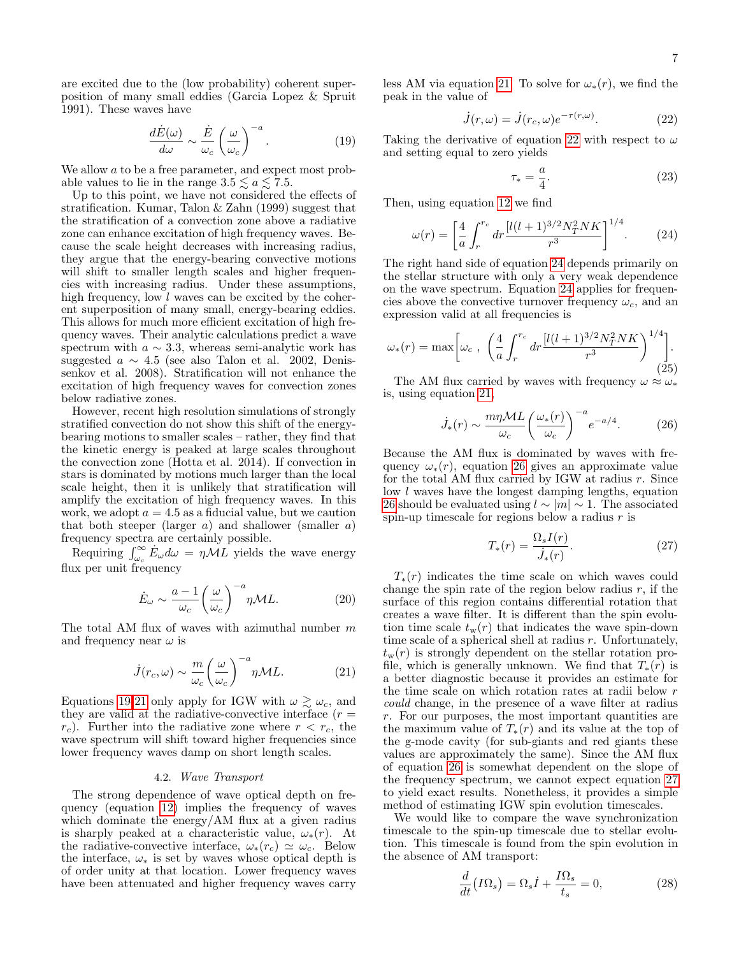are excited due to the (low probability) coherent superposition of many small eddies (Garcia Lopez & Spruit 1991). These waves have

<span id="page-6-0"></span>
$$
\frac{d\dot{E}(\omega)}{d\omega} \sim \frac{\dot{E}}{\omega_c} \left(\frac{\omega}{\omega_c}\right)^{-a}.\tag{19}
$$

We allow a to be a free parameter, and expect most probable values to lie in the range  $3.5 \lesssim a \lesssim 7.5$ .

Up to this point, we have not considered the effects of stratification. Kumar, Talon & Zahn (1999) suggest that the stratification of a convection zone above a radiative zone can enhance excitation of high frequency waves. Because the scale height decreases with increasing radius, they argue that the energy-bearing convective motions will shift to smaller length scales and higher frequencies with increasing radius. Under these assumptions, high frequency, low  $l$  waves can be excited by the coherent superposition of many small, energy-bearing eddies. This allows for much more efficient excitation of high frequency waves. Their analytic calculations predict a wave spectrum with  $a \sim 3.3$ , whereas semi-analytic work has suggested  $a \sim 4.5$  (see also Talon et al. 2002, Denissenkov et al. 2008). Stratification will not enhance the excitation of high frequency waves for convection zones below radiative zones.

However, recent high resolution simulations of strongly stratified convection do not show this shift of the energybearing motions to smaller scales – rather, they find that the kinetic energy is peaked at large scales throughout the convection zone (Hotta et al. 2014). If convection in stars is dominated by motions much larger than the local scale height, then it is unlikely that stratification will amplify the excitation of high frequency waves. In this work, we adopt  $a = 4.5$  as a fiducial value, but we caution that both steeper (larger  $a$ ) and shallower (smaller  $a$ ) frequency spectra are certainly possible.

Requiring  $\int_{\omega_c}^{\infty} E_{\omega} d\omega = \eta \tilde{M} \tilde{L}$  yields the wave energy flux per unit frequency

$$
\dot{E}_{\omega} \sim \frac{a-1}{\omega_c} \left(\frac{\omega}{\omega_c}\right)^{-a} \eta \mathcal{M} L. \tag{20}
$$

The total AM flux of waves with azimuthal number  $m$ and frequency near  $\omega$  is

<span id="page-6-1"></span>
$$
\dot{J}(r_c,\omega) \sim \frac{m}{\omega_c} \left(\frac{\omega}{\omega_c}\right)^{-a} \eta \mathcal{M} L. \tag{21}
$$

Equations [19-](#page-6-0)[21](#page-6-1) only apply for IGW with  $\omega \gtrsim \omega_c$ , and they are valid at the radiative-convective interface  $(r =$  $r_c$ ). Further into the radiative zone where  $r < r_c$ , the wave spectrum will shift toward higher frequencies since lower frequency waves damp on short length scales.

# 4.2. Wave Transport

The strong dependence of wave optical depth on frequency (equation [12\)](#page-3-0) implies the frequency of waves which dominate the energy/AM flux at a given radius is sharply peaked at a characteristic value,  $\omega_*(r)$ . At the radiative-convective interface,  $\omega_*(r_c) \simeq \omega_c$ . Below the interface,  $\omega_*$  is set by waves whose optical depth is of order unity at that location. Lower frequency waves have been attenuated and higher frequency waves carry

less AM via equation [21.](#page-6-1) To solve for  $\omega_*(r)$ , we find the peak in the value of

<span id="page-6-2"></span>
$$
\dot{J}(r,\omega) = \dot{J}(r_c,\omega)e^{-\tau(r,\omega)}.\tag{22}
$$

Taking the derivative of equation [22](#page-6-2) with respect to  $\omega$ and setting equal to zero yields

$$
\tau_* = \frac{a}{4}.\tag{23}
$$

Then, using equation [12](#page-3-0) we find

<span id="page-6-3"></span>
$$
\omega(r) = \left[\frac{4}{a} \int_{r}^{r_c} dr \frac{[l(l+1)^{3/2} N_T^2 N K]}{r^3}\right]^{1/4}.
$$
 (24)

The right hand side of equation [24](#page-6-3) depends primarily on the stellar structure with only a very weak dependence on the wave spectrum. Equation [24](#page-6-3) applies for frequencies above the convective turnover frequency  $\omega_c$ , and an expression valid at all frequencies is

<span id="page-6-6"></span>
$$
\omega_{*}(r) = \max \left[ \omega_c , \left( \frac{4}{a} \int_{r}^{r_c} dr \frac{[l(l+1)^{3/2} N_T^2 N K]}{r^3} \right)^{1/4} \right].
$$
\n(25)

The AM flux carried by waves with frequency  $\omega \approx \omega_*$ is, using equation [21,](#page-6-1)

<span id="page-6-4"></span>
$$
\dot{J}_*(r) \sim \frac{m\eta \mathcal{M}L}{\omega_c} \left(\frac{\omega_*(r)}{\omega_c}\right)^{-a} e^{-a/4}.\tag{26}
$$

Because the AM flux is dominated by waves with frequency  $\omega_*(r)$ , equation [26](#page-6-4) gives an approximate value for the total AM flux carried by IGW at radius  $r$ . Since low l waves have the longest damping lengths, equation [26](#page-6-4) should be evaluated using  $l \sim |m| \sim 1$ . The associated spin-up timescale for regions below a radius  $r$  is

<span id="page-6-5"></span>
$$
T_*(r) = \frac{\Omega_s I(r)}{\dot{J}_*(r)}.\tag{27}
$$

 $T_*(r)$  indicates the time scale on which waves could change the spin rate of the region below radius  $r$ , if the surface of this region contains differential rotation that creates a wave filter. It is different than the spin evolution time scale  $t_w(r)$  that indicates the wave spin-down time scale of a spherical shell at radius r. Unfortunately,  $t_{w}(r)$  is strongly dependent on the stellar rotation profile, which is generally unknown. We find that  $T_*(r)$  is a better diagnostic because it provides an estimate for the time scale on which rotation rates at radii below r could change, in the presence of a wave filter at radius r. For our purposes, the most important quantities are the maximum value of  $T_*(r)$  and its value at the top of the g-mode cavity (for sub-giants and red giants these values are approximately the same). Since the AM flux of equation [26](#page-6-4) is somewhat dependent on the slope of the frequency spectrum, we cannot expect equation [27](#page-6-5) to yield exact results. Nonetheless, it provides a simple method of estimating IGW spin evolution timescales.

We would like to compare the wave synchronization timescale to the spin-up timescale due to stellar evolution. This timescale is found from the spin evolution in the absence of AM transport:

$$
\frac{d}{dt}\left(I\Omega_s\right) = \Omega_s \dot{I} + \frac{I\Omega_s}{t_s} = 0,\tag{28}
$$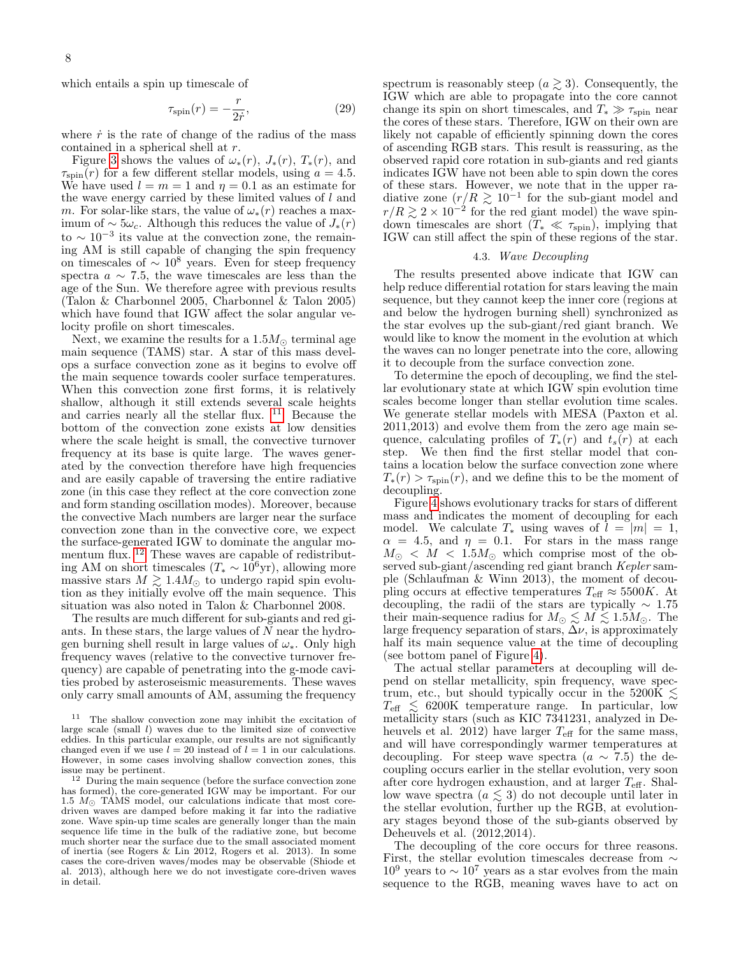which entails a spin up timescale of

<span id="page-7-2"></span>
$$
\tau_{\rm spin}(r) = -\frac{r}{2\dot{r}},\tag{29}
$$

where  $\dot{r}$  is the rate of change of the radius of the mass contained in a spherical shell at r.

Figure [3](#page-8-0) shows the values of  $\omega_*(r)$ ,  $J_*(r)$ ,  $T_*(r)$ , and  $\tau_{spin}(r)$  for a few different stellar models, using  $a = 4.5$ . We have used  $l = m = 1$  and  $\eta = 0.1$  as an estimate for the wave energy carried by these limited values of  $l$  and m. For solar-like stars, the value of  $\omega_*(r)$  reaches a maximum of  $\sim 5\omega_c$ . Although this reduces the value of  $J_*(r)$ to  $\sim 10^{-3}$  its value at the convection zone, the remaining AM is still capable of changing the spin frequency on timescales of  $\sim 10^8$  years. Even for steep frequency spectra  $a \sim 7.5$ , the wave timescales are less than the age of the Sun. We therefore agree with previous results (Talon & Charbonnel 2005, Charbonnel & Talon 2005) which have found that IGW affect the solar angular velocity profile on short timescales.

Next, we examine the results for a  $1.5M_{\odot}$  terminal age main sequence (TAMS) star. A star of this mass develops a surface convection zone as it begins to evolve off the main sequence towards cooler surface temperatures. When this convection zone first forms, it is relatively shallow, although it still extends several scale heights and carries nearly all the stellar flux.  $11$  Because the bottom of the convection zone exists at low densities where the scale height is small, the convective turnover frequency at its base is quite large. The waves generated by the convection therefore have high frequencies and are easily capable of traversing the entire radiative zone (in this case they reflect at the core convection zone and form standing oscillation modes). Moreover, because the convective Mach numbers are larger near the surface convection zone than in the convective core, we expect the surface-generated IGW to dominate the angular mo-mentum flux. <sup>[12](#page-7-1)</sup> These waves are capable of redistributing AM on short timescales ( $T_* \sim 10^6$ yr), allowing more massive stars  $M \gtrsim 1.4 M_{\odot}$  to undergo rapid spin evolution as they initially evolve off the main sequence. This situation was also noted in Talon & Charbonnel 2008.

The results are much different for sub-giants and red giants. In these stars, the large values of  $N$  near the hydrogen burning shell result in large values of  $\omega_*$ . Only high frequency waves (relative to the convective turnover frequency) are capable of penetrating into the g-mode cavities probed by asteroseismic measurements. These waves only carry small amounts of AM, assuming the frequency

spectrum is reasonably steep  $(a \geq 3)$ . Consequently, the IGW which are able to propagate into the core cannot change its spin on short timescales, and  $T_* \gg \tau_{\rm spin}$  near the cores of these stars. Therefore, IGW on their own are likely not capable of efficiently spinning down the cores of ascending RGB stars. This result is reassuring, as the observed rapid core rotation in sub-giants and red giants indicates IGW have not been able to spin down the cores of these stars. However, we note that in the upper radiative zone  $(r/R \ge 10^{-1}$  for the sub-giant model and  $r/R \gtrsim 2 \times 10^{-2}$  for the red giant model) the wave spindown timescales are short  $(T_* \ll \tau_{\rm spin})$ , implying that IGW can still affect the spin of these regions of the star.

## 4.3. Wave Decoupling

The results presented above indicate that IGW can help reduce differential rotation for stars leaving the main sequence, but they cannot keep the inner core (regions at and below the hydrogen burning shell) synchronized as the star evolves up the sub-giant/red giant branch. We would like to know the moment in the evolution at which the waves can no longer penetrate into the core, allowing it to decouple from the surface convection zone.

To determine the epoch of decoupling, we find the stellar evolutionary state at which IGW spin evolution time scales become longer than stellar evolution time scales. We generate stellar models with MESA (Paxton et al. 2011,2013) and evolve them from the zero age main sequence, calculating profiles of  $T_*(r)$  and  $t_s(r)$  at each step. We then find the first stellar model that contains a location below the surface convection zone where  $T_*(r) > \tau_{\rm spin}(r)$ , and we define this to be the moment of decoupling.

Figure [4](#page-9-1) shows evolutionary tracks for stars of different mass and indicates the moment of decoupling for each model. We calculate  $T_*$  using waves of  $l = |m| = 1$ ,  $\alpha = 4.5$ , and  $\eta = 0.1$ . For stars in the mass range  $M_{\odot} < M < 1.5 M_{\odot}$  which comprise most of the observed sub-giant/ascending red giant branch Kepler sample (Schlaufman & Winn 2013), the moment of decoupling occurs at effective temperatures  $T_{\text{eff}} \approx 5500K$ . At decoupling, the radii of the stars are typically  $\sim 1.75$ their main-sequence radius for  $M_{\odot} \lesssim M \lesssim 1.5 M_{\odot}$ . The large frequency separation of stars,  $\Delta \nu$ , is approximately half its main sequence value at the time of decoupling (see bottom panel of Figure [4\)](#page-9-1).

The actual stellar parameters at decoupling will depend on stellar metallicity, spin frequency, wave spectrum, etc., but should typically occur in the 5200K  $\lesssim$  $T_{\text{eff}} \leq 6200 \text{K}$  temperature range. In particular, low metallicity stars (such as KIC 7341231, analyzed in Deheuvels et al. 2012) have larger  $T_{\text{eff}}$  for the same mass, and will have correspondingly warmer temperatures at decoupling. For steep wave spectra  $(a \sim 7.5)$  the decoupling occurs earlier in the stellar evolution, very soon after core hydrogen exhaustion, and at larger  $T_{\text{eff}}$ . Shallow wave spectra  $(a \leq 3)$  do not decouple until later in the stellar evolution, further up the RGB, at evolutionary stages beyond those of the sub-giants observed by Deheuvels et al. (2012,2014).

The decoupling of the core occurs for three reasons. First, the stellar evolution timescales decrease from ∼  $10^9$  years to  $\sim 10^7$  years as a star evolves from the main sequence to the RGB, meaning waves have to act on

<span id="page-7-0"></span><sup>11</sup> The shallow convection zone may inhibit the excitation of large scale (small  $l$ ) waves due to the limited size of convective eddies. In this particular example, our results are not significantly changed even if we use  $l = 20$  instead of  $l = 1$  in our calculations. However, in some cases involving shallow convection zones, this issue may be pertinent.

<span id="page-7-1"></span> $12$  During the main sequence (before the surface convection zone has formed), the core-generated IGW may be important. For our 1.5  $M_{\odot}$  TAMS model, our calculations indicate that most coredriven waves are damped before making it far into the radiative zone. Wave spin-up time scales are generally longer than the main sequence life time in the bulk of the radiative zone, but become much shorter near the surface due to the small associated moment of inertia (see Rogers & Lin 2012, Rogers et al. 2013). In some cases the core-driven waves/modes may be observable (Shiode et al. 2013), although here we do not investigate core-driven waves in detail.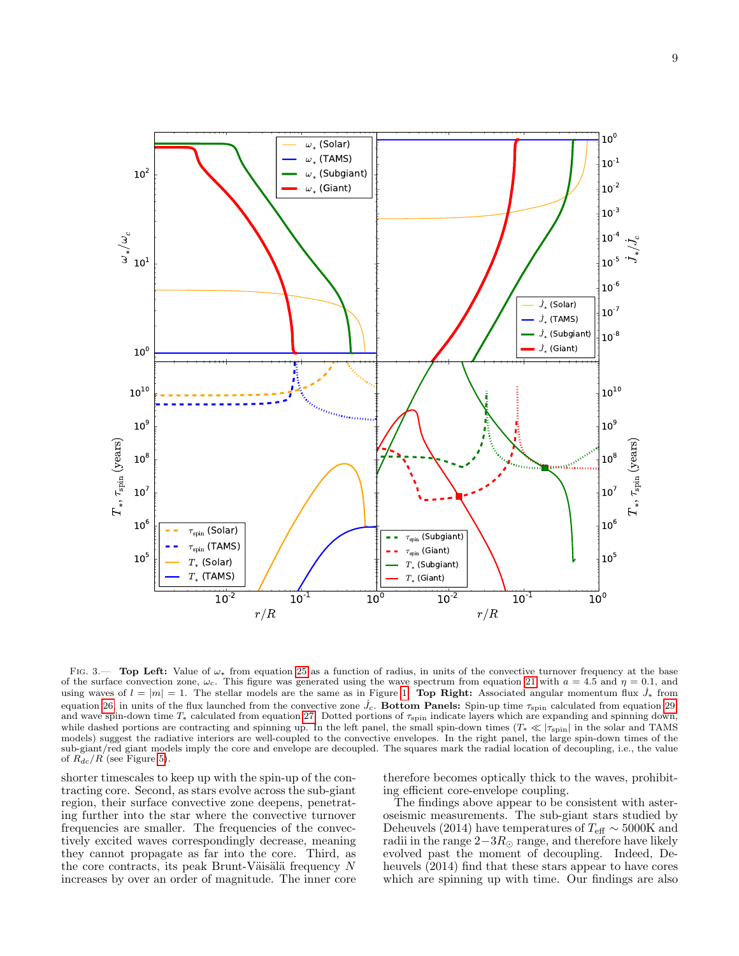

<span id="page-8-0"></span>Fig. 3.— Top Left: Value of ω<sup>∗</sup> from equation [25](#page-6-6) as a function of radius, in units of the convective turnover frequency at the base of the surface convection zone,  $\omega_c$ . This figure was generated using the wave spectrum from equation [21](#page-6-1) with  $a = 4.5$  and  $\eta = 0.1$ , and using waves of  $l = |m| = 1$ . The stellar models are the same as in Figure [1.](#page-2-1) Top Right: Associated angular momentum flux  $\dot{J}_*$  from equation [26,](#page-6-4) in units of the flux launched from the convective zone  $\dot{J}_c$ . Bottom Panels: Spin-up time  $\tau_{\rm spin}$  calculated from equation [29,](#page-7-2) and wave spin-down time  $T_*$  calculated from equation [27.](#page-6-5) Dotted portions of  $\tau_{\rm spin}$  indicate layers which are expanding and spinning down, while dashed portions are contracting and spinning up. In the left panel, the small spin-down times ( $T_* \ll |\tau_{\rm spin}|$  in the solar and TAMS models) suggest the radiative interiors are well-coupled to the convective envelopes. In the right panel, the large spin-down times of the sub-giant/red giant models imply the core and envelope are decoupled. The squares mark the radial location of decoupling, i.e., the value of  $R_{dc}/R$  (see Figure [5\)](#page-9-2).

shorter timescales to keep up with the spin-up of the contracting core. Second, as stars evolve across the sub-giant region, their surface convective zone deepens, penetrating further into the star where the convective turnover frequencies are smaller. The frequencies of the convectively excited waves correspondingly decrease, meaning they cannot propagate as far into the core. Third, as the core contracts, its peak Brunt-Väisälä frequency  $N$ increases by over an order of magnitude. The inner core therefore becomes optically thick to the waves, prohibiting efficient core-envelope coupling.

The findings above appear to be consistent with asteroseismic measurements. The sub-giant stars studied by Deheuvels (2014) have temperatures of  $T_{\text{eff}} \sim 5000 \text{K}$  and radii in the range  $2-3R_{\odot}$  range, and therefore have likely evolved past the moment of decoupling. Indeed, Deheuvels (2014) find that these stars appear to have cores which are spinning up with time. Our findings are also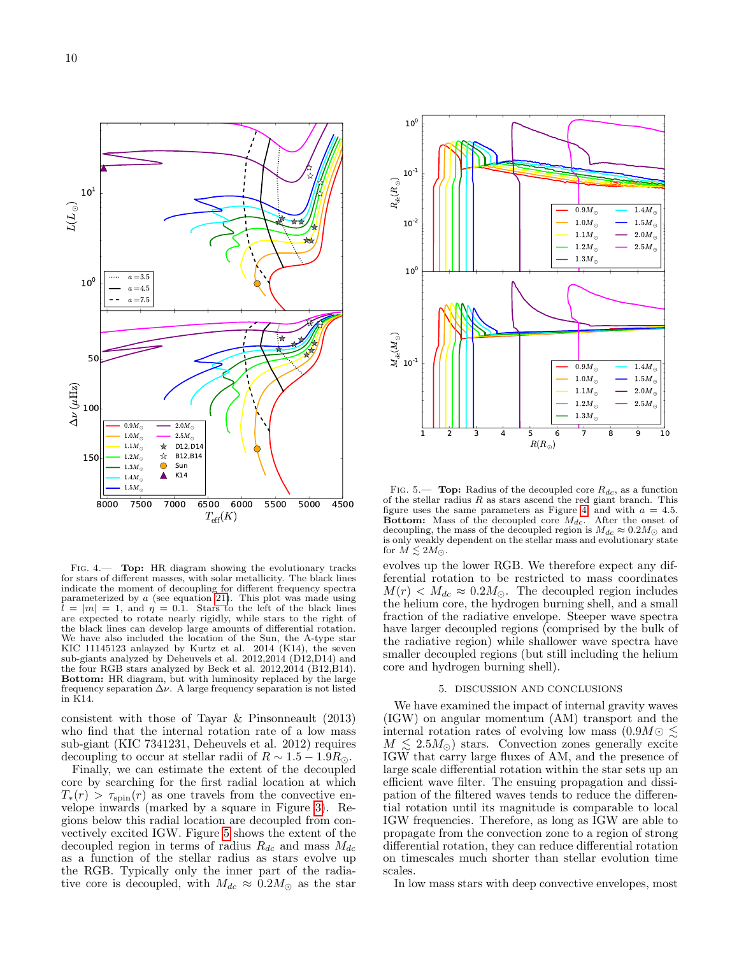



<span id="page-9-1"></span>FIG. 4.— Top: HR diagram showing the evolutionary tracks for stars of different masses, with solar metallicity. The black lines indicate the moment of decoupling for different frequency spectra parameterized by  $a$  (see equation [21\)](#page-6-1). This plot was made using  $l = |m| = 1$ , and  $\eta = 0.1$ . Stars to the left of the black lines are expected to rotate nearly rigidly, while stars to the right of the black lines can develop large amounts of differential rotation. We have also included the location of the Sun, the A-type star KIC 11145123 anlayzed by Kurtz et al. 2014 (K14), the seven sub-giants analyzed by Deheuvels et al. 2012,2014 (D12,D14) and the four RGB stars analyzed by Beck et al.  $2012,2014$  (B12,B14). Bottom: HR diagram, but with luminosity replaced by the large frequency separation  $\Delta \nu$ . A large frequency separation is not listed in K14.

consistent with those of Tayar & Pinsonneault (2013) who find that the internal rotation rate of a low mass sub-giant (KIC 7341231, Deheuvels et al. 2012) requires decoupling to occur at stellar radii of  $R \sim 1.5 - 1.9 R_{\odot}$ .

Finally, we can estimate the extent of the decoupled core by searching for the first radial location at which  $T_*(r) > \tau_{\rm spin}(r)$  as one travels from the convective envelope inwards (marked by a square in Figure [3\)](#page-8-0). Regions below this radial location are decoupled from convectively excited IGW. Figure [5](#page-9-2) shows the extent of the decoupled region in terms of radius  $R_{dc}$  and mass  $M_{dc}$ as a function of the stellar radius as stars evolve up the RGB. Typically only the inner part of the radiative core is decoupled, with  $M_{dc} \approx 0.2 M_{\odot}$  as the star



<span id="page-9-2"></span>FIG. 5.— **Top:** Radius of the decoupled core  $R_{dc}$ , as a function of the stellar radius  $R$  as stars ascend the red giant branch. This figure uses the same parameters as Figure [4,](#page-9-1) and with  $a = 4.5$ . Bottom: Mass of the decoupled core  $M_{dc}$ . After the onset of decoupling, the mass of the decoupled region is  $M_{dc} \approx 0.2 M_{\odot}$  and is only weakly dependent on the stellar mass and evolutionary state for  $\dot{M} \leq 2M_{\odot}$ .

evolves up the lower RGB. We therefore expect any differential rotation to be restricted to mass coordinates  $M(r) < M_{dc} \approx 0.2 M_{\odot}$ . The decoupled region includes the helium core, the hydrogen burning shell, and a small fraction of the radiative envelope. Steeper wave spectra have larger decoupled regions (comprised by the bulk of the radiative region) while shallower wave spectra have smaller decoupled regions (but still including the helium core and hydrogen burning shell).

# 5. DISCUSSION AND CONCLUSIONS

<span id="page-9-0"></span>We have examined the impact of internal gravity waves (IGW) on angular momentum (AM) transport and the internal rotation rates of evolving low mass  $(0.9M\odot \leq$  $M \leq 2.5 M_{\odot}$ ) stars. Convection zones generally excite IGW that carry large fluxes of AM, and the presence of large scale differential rotation within the star sets up an efficient wave filter. The ensuing propagation and dissipation of the filtered waves tends to reduce the differential rotation until its magnitude is comparable to local IGW frequencies. Therefore, as long as IGW are able to propagate from the convection zone to a region of strong differential rotation, they can reduce differential rotation on timescales much shorter than stellar evolution time scales.

In low mass stars with deep convective envelopes, most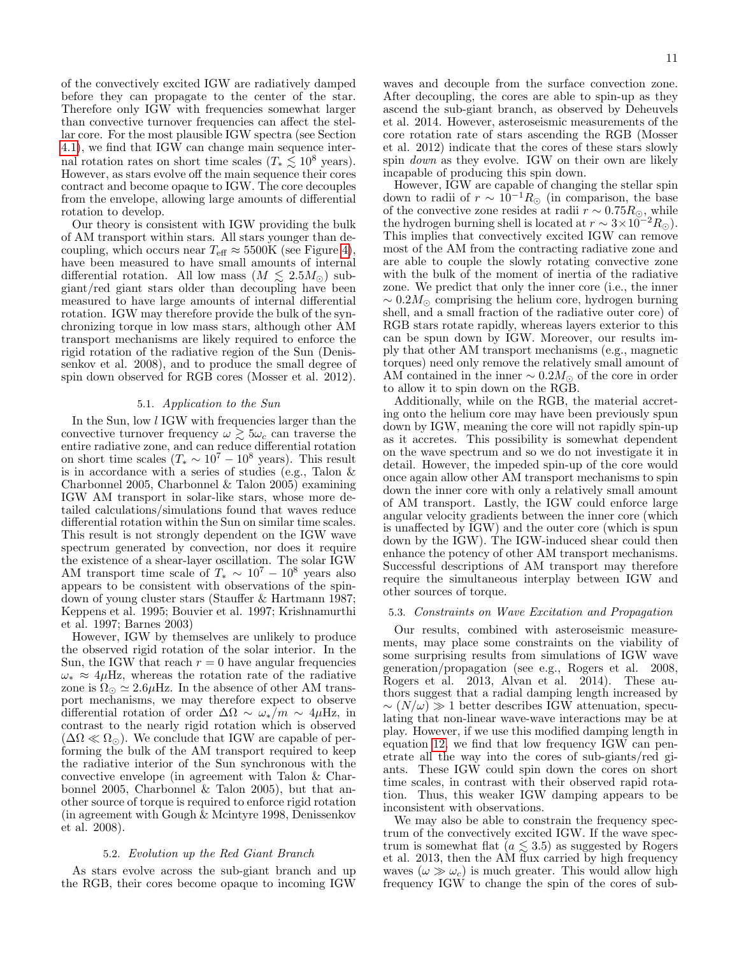of the convectively excited IGW are radiatively damped before they can propagate to the center of the star. Therefore only IGW with frequencies somewhat larger than convective turnover frequencies can affect the stellar core. For the most plausible IGW spectra (see Section [4.1\)](#page-5-1), we find that IGW can change main sequence internal rotation rates on short time scales ( $T_* \leq 10^8$  years). However, as stars evolve off the main sequence their cores contract and become opaque to IGW. The core decouples from the envelope, allowing large amounts of differential rotation to develop.

Our theory is consistent with IGW providing the bulk of AM transport within stars. All stars younger than decoupling, which occurs near  $T_{\text{eff}} \approx 5500$ K (see Figure [4\)](#page-9-1), have been measured to have small amounts of internal differential rotation. All low mass  $(M \leq 2.5M_{\odot})$  subgiant/red giant stars older than decoupling have been measured to have large amounts of internal differential rotation. IGW may therefore provide the bulk of the synchronizing torque in low mass stars, although other AM transport mechanisms are likely required to enforce the rigid rotation of the radiative region of the Sun (Denissenkov et al. 2008), and to produce the small degree of spin down observed for RGB cores (Mosser et al. 2012).

# 5.1. Application to the Sun

In the Sun, low l IGW with frequencies larger than the convective turnover frequency  $\omega \gtrsim 5\omega_c$  can traverse the entire radiative zone, and can reduce differential rotation on short time scales  $(T_* \sim 10^7 - 10^8$  years). This result is in accordance with a series of studies (e.g., Talon & Charbonnel 2005, Charbonnel & Talon  $2005$  examining IGW AM transport in solar-like stars, whose more detailed calculations/simulations found that waves reduce differential rotation within the Sun on similar time scales. This result is not strongly dependent on the IGW wave spectrum generated by convection, nor does it require the existence of a shear-layer oscillation. The solar IGW AM transport time scale of  $T_* \sim 10^7 - 10^8$  years also appears to be consistent with observations of the spindown of young cluster stars (Stauffer & Hartmann 1987; Keppens et al. 1995; Bouvier et al. 1997; Krishnamurthi et al. 1997; Barnes 2003)

However, IGW by themselves are unlikely to produce the observed rigid rotation of the solar interior. In the Sun, the IGW that reach  $r = 0$  have angular frequencies  $\omega_* \approx 4\mu$ Hz, whereas the rotation rate of the radiative zone is  $\Omega_{\odot} \simeq 2.6 \mu$ Hz. In the absence of other AM transport mechanisms, we may therefore expect to observe differential rotation of order  $\Delta\Omega \sim \omega_*/m \sim 4\mu$ Hz, in contrast to the nearly rigid rotation which is observed  $(\Delta\Omega \ll \Omega_{\odot})$ . We conclude that IGW are capable of performing the bulk of the AM transport required to keep the radiative interior of the Sun synchronous with the convective envelope (in agreement with Talon & Charbonnel 2005, Charbonnel & Talon 2005), but that another source of torque is required to enforce rigid rotation (in agreement with Gough & Mcintyre 1998, Denissenkov et al. 2008).

### 5.2. Evolution up the Red Giant Branch

As stars evolve across the sub-giant branch and up the RGB, their cores become opaque to incoming IGW

waves and decouple from the surface convection zone. After decoupling, the cores are able to spin-up as they ascend the sub-giant branch, as observed by Deheuvels et al. 2014. However, asteroseismic measurements of the core rotation rate of stars ascending the RGB (Mosser et al. 2012) indicate that the cores of these stars slowly spin down as they evolve. IGW on their own are likely incapable of producing this spin down.

However, IGW are capable of changing the stellar spin down to radii of  $r \sim 10^{-1} R_{\odot}$  (in comparison, the base of the convective zone resides at radii  $r \sim 0.75 R_{\odot}$ , while the hydrogen burning shell is located at  $r \sim 3 \times 10^{-2} R_{\odot}$ ). This implies that convectively excited IGW can remove most of the AM from the contracting radiative zone and are able to couple the slowly rotating convective zone with the bulk of the moment of inertia of the radiative zone. We predict that only the inner core (i.e., the inner  $\sim 0.2 M_{\odot}$  comprising the helium core, hydrogen burning shell, and a small fraction of the radiative outer core) of RGB stars rotate rapidly, whereas layers exterior to this can be spun down by IGW. Moreover, our results imply that other AM transport mechanisms (e.g., magnetic torques) need only remove the relatively small amount of AM contained in the inner  $\sim 0.2 M_{\odot}$  of the core in order to allow it to spin down on the RGB.

Additionally, while on the RGB, the material accreting onto the helium core may have been previously spun down by IGW, meaning the core will not rapidly spin-up as it accretes. This possibility is somewhat dependent on the wave spectrum and so we do not investigate it in detail. However, the impeded spin-up of the core would once again allow other AM transport mechanisms to spin down the inner core with only a relatively small amount of AM transport. Lastly, the IGW could enforce large angular velocity gradients between the inner core (which is unaffected by IGW) and the outer core (which is spun down by the IGW). The IGW-induced shear could then enhance the potency of other AM transport mechanisms. Successful descriptions of AM transport may therefore require the simultaneous interplay between IGW and other sources of torque.

#### 5.3. Constraints on Wave Excitation and Propagation

Our results, combined with asteroseismic measurements, may place some constraints on the viability of some surprising results from simulations of IGW wave generation/propagation (see e.g., Rogers et al. 2008, Rogers et al. 2013, Alvan et al. 2014). These authors suggest that a radial damping length increased by  $\sim (N/\omega) \gg 1$  better describes IGW attenuation, speculating that non-linear wave-wave interactions may be at play. However, if we use this modified damping length in equation [12,](#page-3-0) we find that low frequency IGW can penetrate all the way into the cores of sub-giants/red giants. These IGW could spin down the cores on short time scales, in contrast with their observed rapid rotation. Thus, this weaker IGW damping appears to be inconsistent with observations.

We may also be able to constrain the frequency spectrum of the convectively excited IGW. If the wave spectrum is somewhat flat  $(a \leq 3.5)$  as suggested by Rogers et al. 2013, then the  $\overrightarrow{AM}$  flux carried by high frequency waves  $(\omega \gg \omega_c)$  is much greater. This would allow high frequency IGW to change the spin of the cores of sub-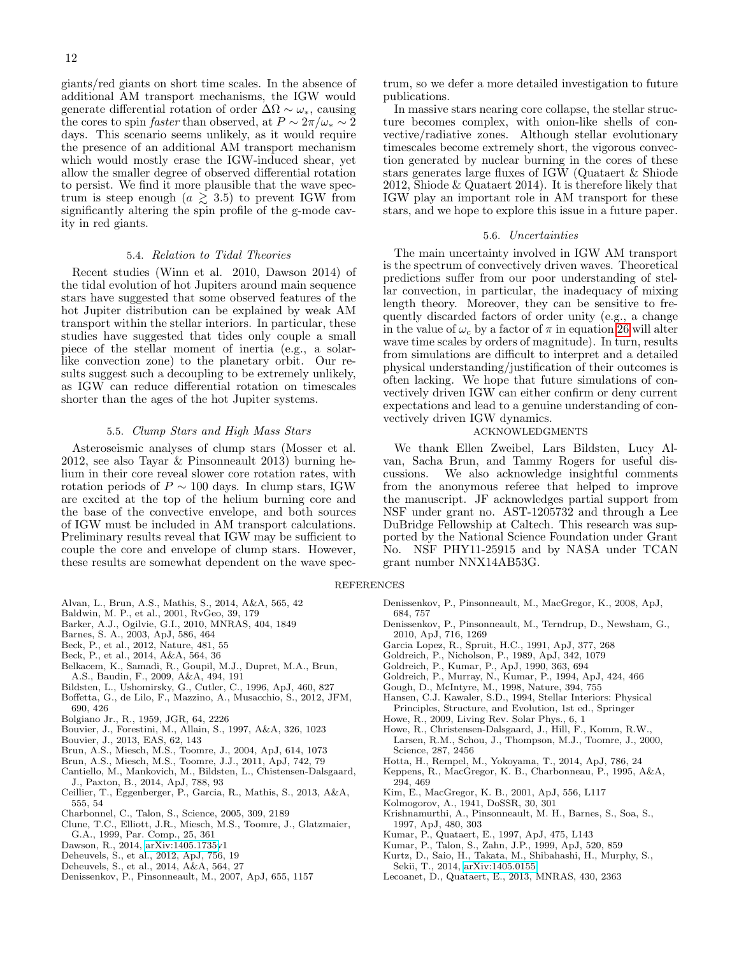giants/red giants on short time scales. In the absence of additional AM transport mechanisms, the IGW would generate differential rotation of order  $\Delta\Omega \sim \omega_*$ , causing the cores to spin *faster* than observed, at  $P \sim 2\pi/\omega_* \sim 2$ days. This scenario seems unlikely, as it would require the presence of an additional AM transport mechanism which would mostly erase the IGW-induced shear, yet allow the smaller degree of observed differential rotation to persist. We find it more plausible that the wave spectrum is steep enough  $(a \geq 3.5)$  to prevent IGW from significantly altering the spin profile of the g-mode cavity in red giants.

## 5.4. Relation to Tidal Theories

Recent studies (Winn et al. 2010, Dawson 2014) of the tidal evolution of hot Jupiters around main sequence stars have suggested that some observed features of the hot Jupiter distribution can be explained by weak AM transport within the stellar interiors. In particular, these studies have suggested that tides only couple a small piece of the stellar moment of inertia (e.g., a solarlike convection zone) to the planetary orbit. Our results suggest such a decoupling to be extremely unlikely, as IGW can reduce differential rotation on timescales shorter than the ages of the hot Jupiter systems.

## 5.5. Clump Stars and High Mass Stars

Asteroseismic analyses of clump stars (Mosser et al. 2012, see also Tayar & Pinsonneault 2013) burning helium in their core reveal slower core rotation rates, with rotation periods of  $P \sim 100$  days. In clump stars, IGW are excited at the top of the helium burning core and the base of the convective envelope, and both sources of IGW must be included in AM transport calculations. Preliminary results reveal that IGW may be sufficient to couple the core and envelope of clump stars. However, these results are somewhat dependent on the wave spec-

- Alvan, L., Brun, A.S., Mathis, S., 2014, A&A, 565, 42
- Baldwin, M. P., et al., 2001, RvGeo, 39, 179
- Barker, A.J., Ogilvie, G.I., 2010, MNRAS, 404, 1849
- Barnes, S. A., 2003, ApJ, 586, 464
- Beck, P., et al., 2012, Nature, 481, 55
- Beck, P., et al., 2014, A&A, 564, 36
- Belkacem, K., Samadi, R., Goupil, M.J., Dupret, M.A., Brun, A.S., Baudin, F., 2009, A&A, 494, 191
- Bildsten, L., Ushomirsky, G., Cutler, C., 1996, ApJ, 460, 827
- Boffetta, G., de Lilo, F., Mazzino, A., Musacchio, S., 2012, JFM, 690, 426
- Bolgiano Jr., R., 1959, JGR, 64, 2226
- Bouvier, J., Forestini, M., Allain, S., 1997, A&A, 326, 1023
- Bouvier, J., 2013, EAS, 62, 143
- Brun, A.S., Miesch, M.S., Toomre, J., 2004, ApJ, 614, 1073
- Brun, A.S., Miesch, M.S., Toomre, J.J., 2011, ApJ, 742, 79
- Cantiello, M., Mankovich, M., Bildsten, L., Chistensen-Dalsgaard, J., Paxton, B., 2014, ApJ, 788, 93
- Ceillier, T., Eggenberger, P., Garcia, R., Mathis, S., 2013, A&A, 555, 54
- Charbonnel, C., Talon, S., Science, 2005, 309, 2189
- Clune, T.C., Elliott, J.R., Miesch, M.S., Toomre, J., Glatzmaier, G.A., 1999, Par. Comp., 25, 361
- Dawson, R., 2014, [arXiv:1405.1735v](http://arxiv.org/abs/1405.1735)1
- Deheuvels, S., et al., 2012, ApJ, 756, 19
- Deheuvels, S., et al., 2014, A&A, 564, 27
- Denissenkov, P., Pinsonneault, M., 2007, ApJ, 655, 1157

trum, so we defer a more detailed investigation to future publications.

In massive stars nearing core collapse, the stellar structure becomes complex, with onion-like shells of convective/radiative zones. Although stellar evolutionary timescales become extremely short, the vigorous convection generated by nuclear burning in the cores of these stars generates large fluxes of IGW (Quataert & Shiode 2012, Shiode & Quataert 2014). It is therefore likely that IGW play an important role in AM transport for these stars, and we hope to explore this issue in a future paper.

### 5.6. Uncertainties

The main uncertainty involved in IGW AM transport is the spectrum of convectively driven waves. Theoretical predictions suffer from our poor understanding of stellar convection, in particular, the inadequacy of mixing length theory. Moreover, they can be sensitive to frequently discarded factors of order unity (e.g., a change in the value of  $\omega_c$  by a factor of  $\pi$  in equation [26](#page-6-4) will alter wave time scales by orders of magnitude). In turn, results from simulations are difficult to interpret and a detailed physical understanding/justification of their outcomes is often lacking. We hope that future simulations of convectively driven IGW can either confirm or deny current expectations and lead to a genuine understanding of convectively driven IGW dynamics.

# ACKNOWLEDGMENTS

We thank Ellen Zweibel, Lars Bildsten, Lucy Alvan, Sacha Brun, and Tammy Rogers for useful discussions. We also acknowledge insightful comments from the anonymous referee that helped to improve the manuscript. JF acknowledges partial support from NSF under grant no. AST-1205732 and through a Lee DuBridge Fellowship at Caltech. This research was supported by the National Science Foundation under Grant No. NSF PHY11-25915 and by NASA under TCAN grant number NNX14AB53G.

#### **REFERENCES**

- Denissenkov, P., Pinsonneault, M., MacGregor, K., 2008, ApJ, 684, 757
- Denissenkov, P., Pinsonneault, M., Terndrup, D., Newsham, G., 2010, ApJ, 716, 1269
- Garcia Lopez, R., Spruit, H.C., 1991, ApJ, 377, 268
- Goldreich, P., Nicholson, P., 1989, ApJ, 342, 1079
- Goldreich, P., Kumar, P., ApJ, 1990, 363, 694
- Goldreich, P., Murray, N., Kumar, P., 1994, ApJ, 424, 466
- Gough, D., McIntyre, M., 1998, Nature, 394, 755
- Hansen, C.J. Kawaler, S.D., 1994, Stellar Interiors: Physical
- Principles, Structure, and Evolution, 1st ed., Springer Howe, R., 2009, Living Rev. Solar Phys., 6, 1
- Howe, R., Christensen-Dalsgaard, J., Hill, F., Komm, R.W., Larsen, R.M., Schou, J., Thompson, M.J., Toomre, J., 2000, Science, 287, 2456
- Hotta, H., Rempel, M., Yokoyama, T., 2014, ApJ, 786, 24
- Keppens, R., MacGregor, K. B., Charbonneau, P., 1995, A&A, 294, 469
- Kim, E., MacGregor, K. B., 2001, ApJ, 556, L117
- Kolmogorov, A., 1941, DoSSR, 30, 301
- Krishnamurthi, A., Pinsonneault, M. H., Barnes, S., Soa, S., 1997, ApJ, 480, 303
- Kumar, P., Quataert, E., 1997, ApJ, 475, L143
- Kumar, P., Talon, S., Zahn, J.P., 1999, ApJ, 520, 859
- Kurtz, D., Saio, H., Takata, M., Shibahashi, H., Murphy, S., Sekii, T., 2014, [arXiv:1405.0155](http://arxiv.org/abs/1405.0155)
- Lecoanet, D., Quataert, E., 2013, MNRAS, 430, 2363